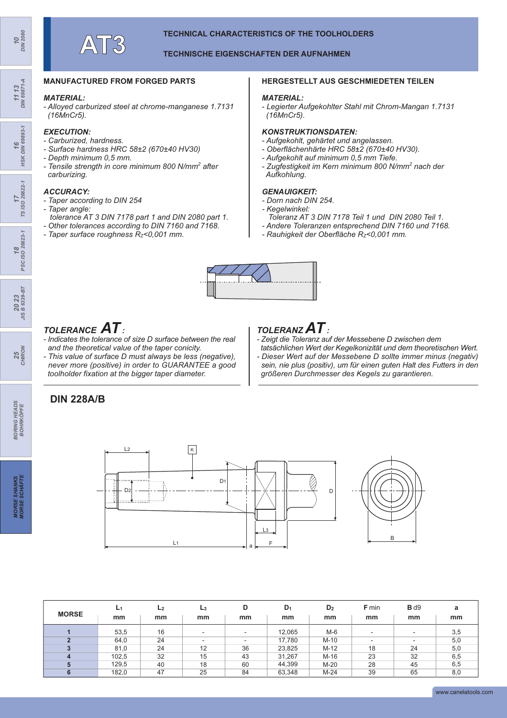#### **TECHNISCHE EIGENSCHAFTEN DER AUFNAHMEN**

### **MANUFACTURED FROM FORGED PARTS**

#### *MATERIAL:*

*- Alloyed carburized steel at chrome-manganese 1.7131 (16MnCr5).*

#### *EXECUTION:*

- *Carburized, hardness.*
- *Surface hardness HRC 58±2 (670±40 HV30)*
- *Depth minimum 0,5 mm.*
- *Tensile strength in core minimum 800 N/mm<sup>2</sup> after carburizing.*

### *ACCURACY:*

- *Taper according to DIN 254*
- *Taper angle: tolerance AT 3 DIN 7178 part 1 and DIN 2080 part 1.*
- *Other tolerances according to DIN 7160 and 7168.*
- *Taper surface roughness RZ<0,001 mm.*

#### **HERGESTELLT AUS GESCHMIEDETEN TEILEN**

#### *MATERIAL:*

*- Legierter Aufgekohlter Stahl mit Chrom-Mangan 1.7131 (16MnCr5).*

#### *KONSTRUKTIONSDATEN:*

- *Aufgekohlt, gehärtet und angelassen.*
- *Oberflächenhärte HRC 58±2 (670±40 HV30).*
- *Aufgekohlt auf minimum 0,5 mm Tiefe.*
- *Zugfestigkeit im Kern minimum 800 N/mm<sup>2</sup> nach der Aufkohlung.*

#### *GENAUIGKEIT:*

- *Dorn nach DIN 254.*
- *Kegelwinkel:*
- *Toleranz AT 3 DIN 7178 Teil 1 und DIN 2080 Teil 1.*
- *Andere Toleranzen entsprechend DIN 7160 und 7168.*
- *Rauhigkeit der Oberfläche RZ<0,001 mm.*



# *TOLERANCE AT :*

- *Indicates the tolerance of size D surface between the real and the theoretical value of the taper conicity.*
- *This value of surface D must always be less (negative), never more (positive) in order to GUARANTEE a good toolholder fixation at the bigger taper diameter.*

## **DIN 228A/B**



- *Zeigt die Toleranz auf der Messebene D zwischen dem*
- *tatsächlichen Wert der Kegelkonizität und dem theoretischen Wert. - Dieser Wert auf der Messebene D sollte immer minus (negativ) sein, nie plus (positiv), um für einen guten Halt des Futters in den größeren Durchmesser des Kegels zu garantieren.*



|              | L <sub>1</sub> | L <sub>2</sub> | $L_3$                    | D                        | $D_1$  | D <sub>2</sub> | <b>F</b> min             | B d9                     | a   |
|--------------|----------------|----------------|--------------------------|--------------------------|--------|----------------|--------------------------|--------------------------|-----|
| <b>MORSE</b> | mm             | mm             | mm                       | mm                       | mm     | mm             | mm                       | mm                       | mm  |
|              | 53,5           | 16             | $\overline{\phantom{a}}$ | $\overline{\phantom{a}}$ | 12,065 | $M-6$          | ۰                        | $\overline{\phantom{a}}$ | 3,5 |
| $\bullet$    | 64,0           | 24             | $\overline{\phantom{a}}$ | $\overline{\phantom{a}}$ | 17.780 | $M-10$         | $\overline{\phantom{a}}$ | $\overline{\phantom{a}}$ | 5,0 |
|              | 81,0           | 24             | 12                       | 36                       | 23,825 | $M-12$         | 18                       | 24                       | 5,0 |
|              | 102.5          | 32             | 15                       | 43                       | 31.267 | $M-16$         | 23                       | 32                       | 6,5 |
|              | 129,5          | 40             | 18                       | 60                       | 44,399 | $M-20$         | 28                       | 45                       | 6,5 |
|              | 182,0          | 47             | 25                       | 84                       | 63,348 | $M-24$         | 39                       | 65                       | 8,0 |

*11 13 DIN 69871-A*

**16**<br>HSK DIN 69893-1 *HSK DIN 69893-1*

*25 CHIRON*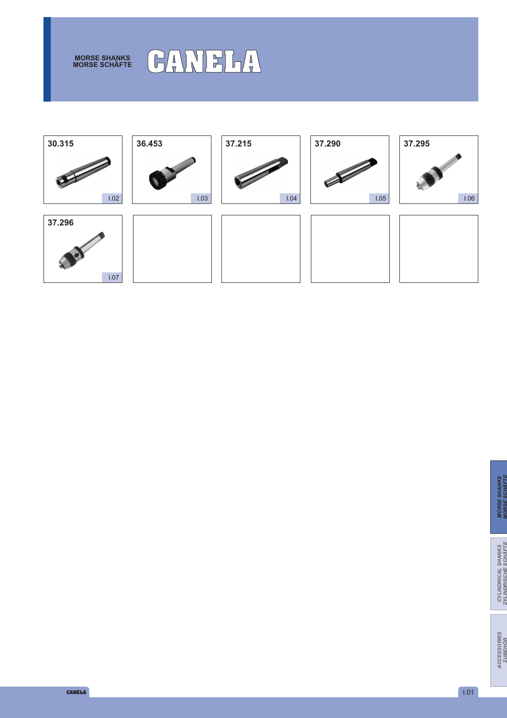

# **MORSE SCHÄFTE CANELA**

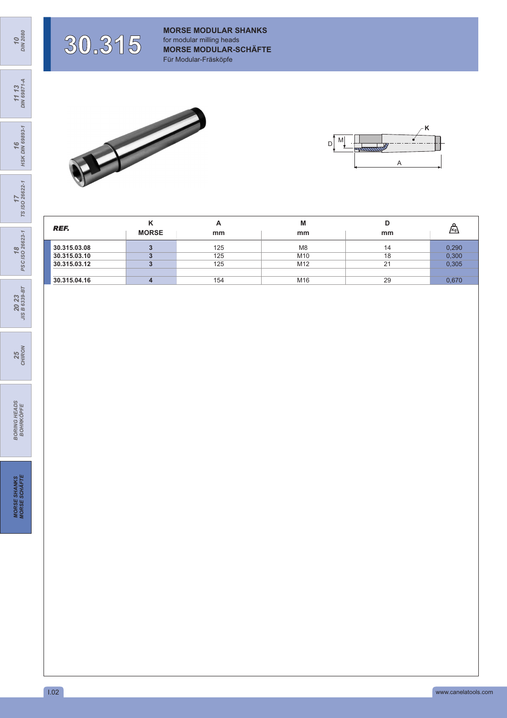**30.315**

**MORSE MODULAR SHANKS** for modular milling heads **MORSE MODULAR-SCHÄFTE** Für Modular-Fräsköpfe





| REF.                         | <b>MORSE</b> | $\mathbf{r}$<br>mm | M<br>mm                           | mm       | [Kg]           |
|------------------------------|--------------|--------------------|-----------------------------------|----------|----------------|
| 30.315.03.08<br>30.315.03.10 |              | 125<br>125         | M <sub>8</sub><br>M <sub>10</sub> | 14<br>18 | 0,290<br>0,300 |
| 30.315.03.12                 |              | 125                | M12                               | 21       | 0,305          |
| 30.315.04.16                 |              | 154                | M16                               | 29       | 0,670          |

*10 DIN 2080*

**18**<br>PSC ISO 26623-1 *PSC ISO 26623-1*

*20 23 JIS B 6339-BT*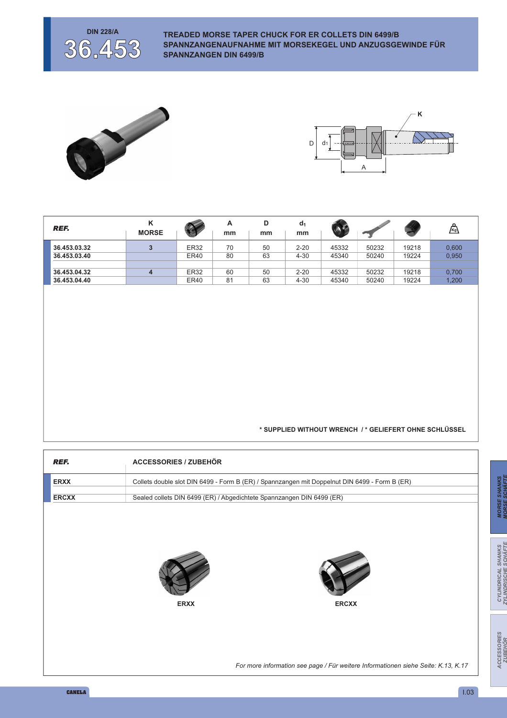

**DIN 228/A TREADED MORSE TAPER CHUCK FOR ER COLLETS DIN 6499/B SPANNZANGENAUFNAHME MIT MORSEKEGEL UND ANZUGSGEWINDE FÜR SPANNZANGEN DIN 6499/B**





| <b>REF.</b>  | ĸ<br><b>MORSE</b> | $\sqrt{2}$  | A<br>mm | D<br>mm | $d_1$<br>mm |       |       |       | $\sqrt{\kappa_g}$ |
|--------------|-------------------|-------------|---------|---------|-------------|-------|-------|-------|-------------------|
| 36.453.03.32 | 3                 | <b>ER32</b> | 70      | 50      | $2 - 20$    | 45332 | 50232 | 19218 | 0.600             |
| 36.453.03.40 |                   | <b>ER40</b> | 80      | 63      | $4 - 30$    | 45340 | 50240 | 19224 | 0.950             |
| 36.453.04.32 |                   | ER32        | 60      | 50      | $2 - 20$    | 45332 | 50232 | 19218 | 0.700             |
| 36.453.04.40 |                   | <b>ER40</b> | 81      | 63      | $4 - 30$    | 45340 | 50240 | 19224 | 1.200             |

#### **\* SUPPLIED WITHOUT WRENCH / \* GELIEFERT OHNE SCHLÜSSEL**

| REF.         | <b>ACCESSORIES / ZUBEHÖR</b>                                                                  |
|--------------|-----------------------------------------------------------------------------------------------|
| <b>ERXX</b>  | Collets double slot DIN 6499 - Form B (ER) / Spannzangen mit Doppelnut DIN 6499 - Form B (ER) |
| <b>ERCXX</b> | Sealed collets DIN 6499 (ER) / Abgedichtete Spannzangen DIN 6499 (ER)                         |
|              | <b>ERXX</b><br><b>ERCXX</b>                                                                   |
|              | For more information see page / Für weitere Informationen siehe Seite: K.13, K.17             |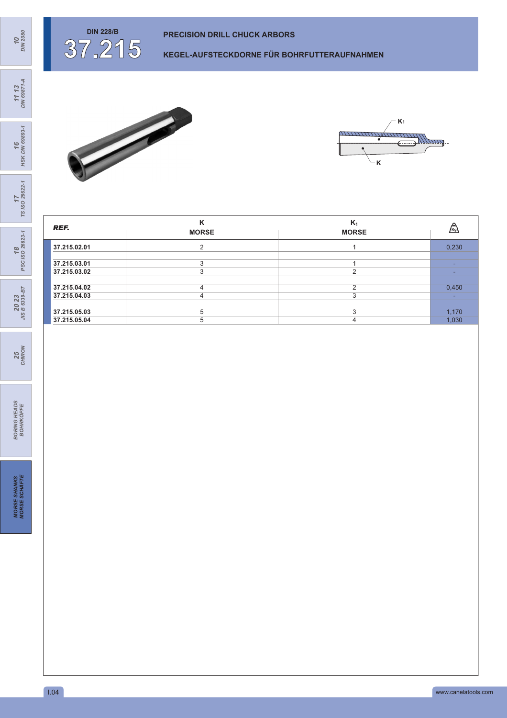

**KEGEL-AUFSTECKDORNE FÜR BOHRFUTTERAUFNAHMEN**



*10 DIN 2080*





**37.215**



| REF.         | $\mathbf{z}$<br><b>MORSE</b> | $K_1$<br><b>MORSE</b> | Kg    |
|--------------|------------------------------|-----------------------|-------|
| 37.215.02.01 |                              |                       | 0,230 |
| 37.215.03.01 |                              |                       | -     |
| 37.215.03.02 |                              | $\sim$                | ۰.    |
| 37.215.04.02 |                              | ◠                     | 0,450 |
| 37.215.04.03 |                              |                       | ۰.    |
| 37.215.05.03 | 5                            | c                     | 1,170 |
| 37.215.05.04 | h.                           |                       | 1,030 |

*25 CHIRON*

*20 23 JIS B 6339-BT*

18<br>PSC ISO 26623-1 *PSC ISO 26623-1*

17<br>7S ISO 26622-1 *TS ISO 26622-1*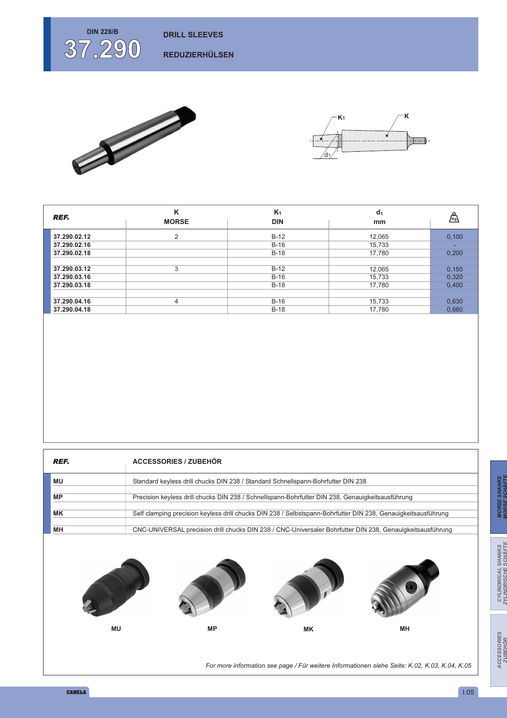

**REDUZIERHÜLSEN**





| <b>REF.</b>  | ĸ<br><b>MORSE</b> | $K_1$<br><b>DIN</b> | d <sub>1</sub><br>mm | ⚠     |
|--------------|-------------------|---------------------|----------------------|-------|
| 37.290.02.12 | $\overline{2}$    | $B-12$              | 12,065               | 0.100 |
| 37.290.02.16 |                   | $B-16$              | 15,733               |       |
| 37.290.02.18 |                   | $B-18$              | 17,780               | 0.200 |
|              |                   |                     |                      |       |
| 37.290.03.12 | 3                 | $B-12$              | 12,065               | 0,150 |
| 37.290.03.16 |                   | $B-16$              | 15,733               | 0,320 |
| 37.290.03.18 |                   | $B-18$              | 17,780               | 0,400 |
|              |                   |                     |                      |       |
| 37.290.04.16 | 4                 | $B-16$              | 15,733               | 0,630 |
| 37.290.04.18 |                   | $B-18$              | 17,780               | 0.660 |

| REF.      | <b>ACCESSORIES / ZUBEHÖR</b>                                                                                  |
|-----------|---------------------------------------------------------------------------------------------------------------|
| ΜU        | Standard keyless drill chucks DIN 238 / Standard Schnellspann-Bohrfutter DIN 238                              |
| <b>MP</b> | Precision keyless drill chucks DIN 238 / Schnellspann-Bohrfutter DIN 238, Genauigkeitsausführung              |
| МK        | Self clamping precision keyless drill chucks DIN 238 / Selbstspann-Bohrfutter DIN 238, Genauigkeitsausführung |
| MН        | CNC-UNIVERSAL precision drill chucks DIN 238 / CNC-Universaler Bohrfutter DIN 238, Genauigkeitsausführung     |









*For more information see page / Für weitere Informationen siehe Seite: K.02, K.03, K.04, K.05*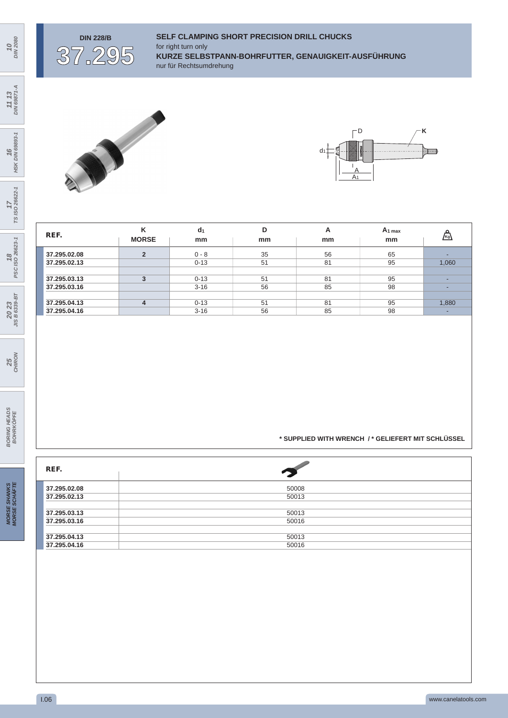

### **DIN 228/B SELF CLAMPING SHORT PRECISION DRILL CHUCKS** for right turn only **KURZE SELBSTPANN-BOHRFUTTER, GENAUIGKEIT-AUSFÜHRUNG** nur für Rechtsumdrehung





| REF.         | κ<br><b>MORSE</b> | d <sub>1</sub><br>mm | D<br>mm | А<br>mm | $A_1$ max<br>mm | ⚠     |
|--------------|-------------------|----------------------|---------|---------|-----------------|-------|
| 37.295.02.08 | $\overline{2}$    | $0 - 8$              | 35      | 56      | 65              | -     |
| 37.295.02.13 |                   | $0 - 13$             | 51      | 81      | 95              | 1,060 |
|              |                   |                      |         |         |                 |       |
| 37.295.03.13 | $\mathbf{R}$      | $0 - 13$             | 51      | 81      | 95              | -     |
| 37.295.03.16 |                   | $3 - 16$             | 56      | 85      | 98              | -     |
|              |                   |                      |         |         |                 |       |
| 37.295.04.13 | $\overline{4}$    | $0 - 13$             | 51      | 81      | 95              | 1,880 |
| 37.295.04.16 |                   | $3 - 16$             | 56      | 85      | 98              | -     |

**\* SUPPLIED WITH WRENCH / \* GELIEFERT MIT SCHLÜSSEL**

| REF.         |       |
|--------------|-------|
| 37.295.02.08 | 50008 |
| 37.295.02.13 | 50013 |
|              |       |
| 37.295.03.13 | 50013 |
| 37.295.03.16 | 50016 |
|              |       |
| 37.295.04.13 | 50013 |
| 37.295.04.16 | 50016 |

*11 13 DIN 69871-A*

*10 DIN 2080*